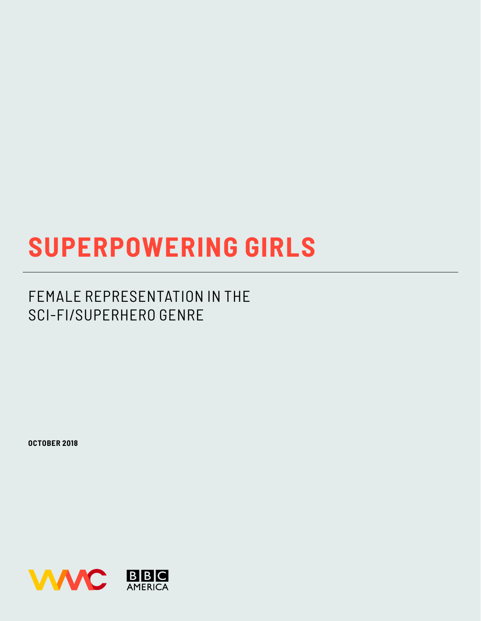# **SUPERPOWERING GIRLS**

### FEMALE REPRESENTATION IN THE SCI-FI/SUPERHERO GENRE

**OCTOBER 2018**

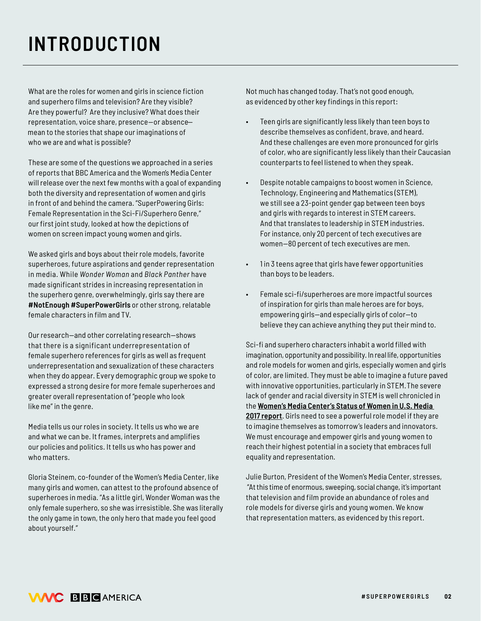## **INTRODUCTION**

What are the roles for women and girls in science fiction and superhero films and television? Are they visible? Are they powerful? Are they inclusive? What does their representation, voice share, presence-or absence mean to the stories that shape our imaginations of who we are and what is possible?

These are some of the questions we approached in a series of reports that BBC America and the Women's Media Center will release over the next few months with a goal of expanding both the diversity and representation of women and girls in front of and behind the camera. "SuperPowering Girls: Female Representation in the Sci-Fi/Superhero Genre," our first joint study, looked at how the depictions of women on screen impact young women and girls.

We asked girls and boys about their role models, favorite superheroes, future aspirations and gender representation in media. While *Wonder Woman* and *Black Panther* have made significant strides in increasing representation in the superhero genre, overwhelmingly, girls say there are **#NotEnough #SuperPowerGirls** or other strong, relatable female characters in film and TV.

Our research—and other correlating research—shows that there is a significant underrepresentation of female superhero references for girls as well as frequent underrepresentation and sexualization of these characters when they do appear. Every demographic group we spoke to expressed a strong desire for more female superheroes and greater overall representation of "people who look like me" in the genre.

Media tells us our roles in society. It tells us who we are and what we can be. It frames, interprets and amplifies our policies and politics. It tells us who has power and who matters.

Gloria Steinem, co-founder of the Women's Media Center, like many girls and women, can attest to the profound absence of superheroes in media. "As a little girl, Wonder Woman was the only female superhero, so she was irresistible. She was literally the only game in town, the only hero that made you feel good about yourself."

Not much has changed today. That's not good enough, as evidenced by other key findings in this report:

- Teen girls are significantly less likely than teen boys to describe themselves as confident, brave, and heard. And these challenges are even more pronounced for girls of color, who are significantly less likely than their Caucasian counterparts to feel listened to when they speak.
- Despite notable campaigns to boost women in Science, Technology, Engineering and Mathematics (STEM), we still see a 23-point gender gap between teen boys and girls with regards to interest in STEM careers. And that translates to leadership in STEM industries. For instance, only 20 percent of tech executives are women—80 percent of tech executives are men.
- 1 in 3 teens agree that girls have fewer opportunities than boys to be leaders.
- Female sci-fi/superheroes are more impactful sources of inspiration for girls than male heroes are for boys, empowering girls—and especially girls of color—to believe they can achieve anything they put their mind to.

Sci-fi and superhero characters inhabit a world filled with imagination, opportunity and possibility. In real life, opportunities and role models for women and girls, especially women and girls of color, are limited. They must be able to imagine a future paved with innovative opportunities, particularly in STEM. The severe lack of gender and racial diversity in STEM is well chronicled in the **Women's Media Center's Status of Women in U.S. Media 2017 report**. Girls need to see a powerful role model if they are to imagine themselves as tomorrow's leaders and innovators. We must encourage and empower girls and young women to reach their highest potential in a society that embraces full equality and representation.

Julie Burton, President of the Women's Media Center, stresses, "At this time of enormous, sweeping, social change, it's important that television and film provide an abundance of roles and role models for diverse girls and young women. We know that representation matters, as evidenced by this report.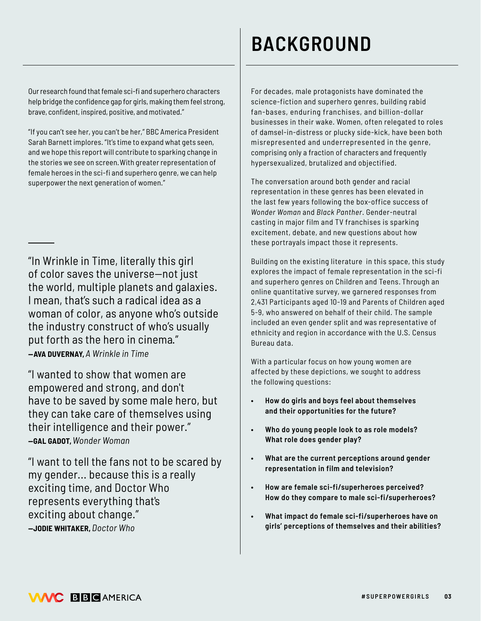Our research found that female sci-fi and superhero characters help bridge the confidence gap for girls, making them feel strong, brave, confident, inspired, positive, and motivated."

"If you can't see her, you can't be her," BBC America President Sarah Barnett implores. "It's time to expand what gets seen, and we hope this report will contribute to sparking change in the stories we see on screen. With greater representation of female heroes in the sci-fi and superhero genre, we can help superpower the next generation of women."

"In Wrinkle in Time, literally this girl of color saves the universe—not just the world, multiple planets and galaxies. I mean, that's such a radical idea as a woman of color, as anyone who's outside the industry construct of who's usually put forth as the hero in cinema." **— AVA DUVERNAY,***A Wrinkle in Time*

"I wanted to show that women are empowered and strong, and don't have to be saved by some male hero, but they can take care of themselves using their intelligence and their power." **—GAL GADOT,***Wonder Woman*

"I want to tell the fans not to be scared by my gender... because this is a really exciting time, and Doctor Who represents everything that's exciting about change." **—JODIE WHITAKER,** *Doctor Who*

## **BACKGROUND**

For decades, male protagonists have dominated the science-fiction and superhero genres, building rabid fan-bases, enduring franchises, and billion-dollar businesses in their wake. Women, often relegated to roles of damsel-in-distress or plucky side-kick, have been both misrepresented and underrepresented in the genre, comprising only a fraction of characters and frequently hypersexualized, brutalized and objectified.

The conversation around both gender and racial representation in these genres has been elevated in the last few years following the box-office success of *Wonder Woman* and *Black Panther*. Gender-neutral casting in major film and TV franchises is sparking excitement, debate, and new questions about how these portrayals impact those it represents.

Building on the existing literature in this space, this study explores the impact of female representation in the sci-fi and superhero genres on Children and Teens. Through an online quantitative survey, we garnered responses from 2,431 Participants aged 10-19 and Parents of Children aged 5-9, who answered on behalf of their child. The sample included an even gender split and was representative of ethnicity and region in accordance with the U.S. Census Bureau data.

With a particular focus on how young women are affected by these depictions, we sought to address the following questions:

- **• How do girls and boys feel about themselves and their opportunities for the future?**
- **• Who do young people look to as role models? What role does gender play?**
- **• What are the current perceptions around gender representation in film and television?**
- **• How are female sci-fi/superheroes perceived? How do they compare to male sci-fi/superheroes?**
- **• What impact do female sci-fi/superheroes have on girls' perceptions of themselves and their abilities?**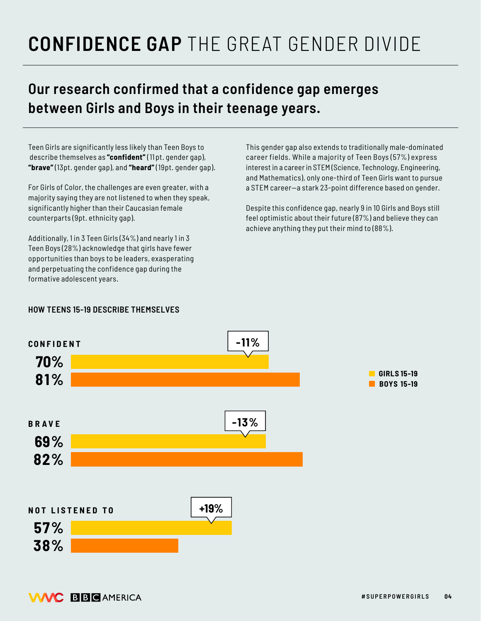## **CONFIDENCE GAP** THE GREAT GENDER DIVIDE

#### **Our research confirmed that a confidence gap emerges between Girls and Boys in their teenage years.**

Teen Girls are significantly less likely than Teen Boys to describe themselves as **"confident"** (11 pt. gender gap), **"brave"** (13pt. gender gap), and **"heard"** (19pt. gender gap).

For Girls of Color, the challenges are even greater, with a majority saying they are not listened to when they speak, significantly higher than their Caucasian female counterparts (9pt. ethnicity gap).

Additionally, 1 in 3 Teen Girls (34%) and nearly 1 in 3 Teen Boys (28%) acknowledge that girls have fewer opportunities than boys to be leaders, exasperating and perpetuating the confidence gap during the formative adolescent years.

This gender gap also extends to traditionally male-dominated career fields. While a majority of Teen Boys (57%) express interest in a career in STEM (Science, Technology, Engineering, and Mathematics), only one-third of Teen Girls want to pursue a STEM career—a stark 23-point difference based on gender.

Despite this confidence gap, nearly 9 in 10 Girls and Boys still feel optimistic about their future (87%) and believe they can achieve anything they put their mind to (88%).

#### **HOW TEENS 15-19 DESCRIBE THEMSELVES**

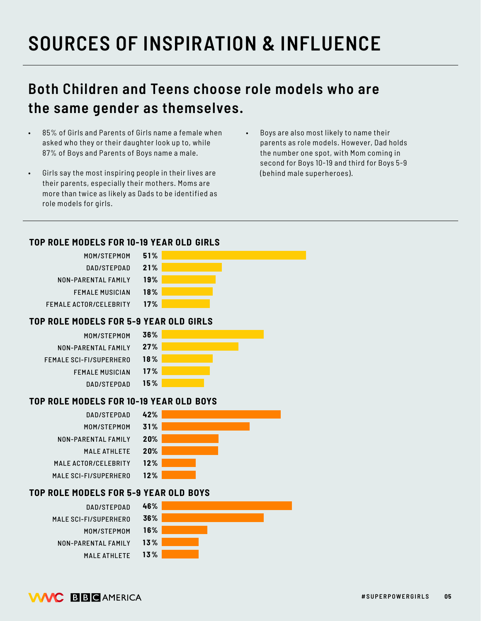## **SOURCES OF INSPIRATION & INFLUENCE**

#### **Both Children and Teens choose role models who are the same gender as themselves.**

- 85% of Girls and Parents of Girls name a female when asked who they or their daughter look up to, while 87% of Boys and Parents of Boys name a male.
- Girls say the most inspiring people in their lives are their parents, especially their mothers. Moms are more than twice as likely as Dads to be identified as role models for girls.
- Boys are also most likely to name their parents as role models. However, Dad holds the number one spot, with Mom coming in second for Boys 10-19 and third for Boys 5-9 (behind male superheroes).

#### **TOP ROLE MODELS FOR 10-19 YEAR OLD GIRLS**



MALE ATHLETE **13%**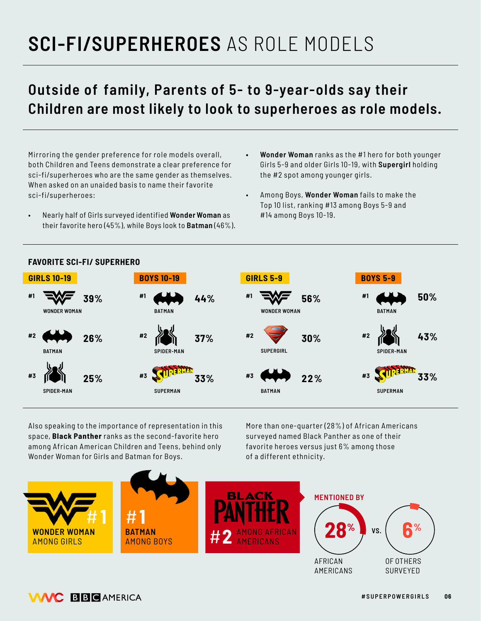## **SCI-FI/SUPERHEROES** AS ROLE MODELS

### **Outside of family, Parents of 5- to 9-year-olds say their Children are most likely to look to superheroes as role models.**

Mirroring the gender preference for role models overall, both Children and Teens demonstrate a clear preference for sci-fi/superheroes who are the same gender as themselves. When asked on an unaided basis to name their favorite sci-fi/superheroes:

- Nearly half of Girls surveyed identified **Wonder Woman** as their favorite hero (45%), while Boys look to **Batman** (46%).
- **• Wonder Woman** ranks as the #1 hero for both younger Girls 5-9 and older Girls 10-19, with **Supergirl** holding the #2 spot among younger girls.
- Among Boys, **Wonder Woman** fails to make the Top 10 list, ranking #13 among Boys 5-9 and #14 among Boys 10-19.



Also speaking to the importance of representation in this space, **Black Panther** ranks as the second-favorite hero among African American Children and Teens, behind only Wonder Woman for Girls and Batman for Boys.

More than one-quarter (28%) of African Americans surveyed named Black Panther as one of their favorite heroes versus just 6% among those of a different ethnicity.

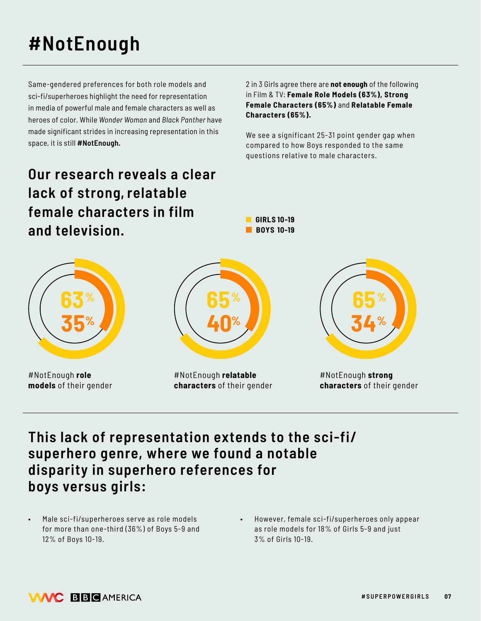## **#NotEnough**

Same-gendered preferences for both role models and sci-fi/superheroes highlight the need for representation in media of powerful male and female characters as well as heroes of color. While *Wonder Woman* and *Black Panther* have made significant strides in increasing representation in this space, it is still **#NotEnough.**

**Our research reveals a clear lack of strong, relatable female characters in film and television.** 

2 in 3 Girls agree there are **not enough** of the following in Film & TV: **Female Role Models (63%), Strong Female Characters (65%)** and **Relatable Female Characters (65%).**

We see a significant 25-31 point gender gap when compared to how Boys responded to the same questions relative to male characters.



**GIRLS 10-19** 

#### **This lack of representation extends to the sci-fi/ superhero genre, where we found a notable disparity in superhero references for boys versus girls:**

- Male sci-fi/superheroes serve as role models for more than one-third (36%) of Boys 5-9 and 12% of Boys 10-19.
- However, female sci-fi/superheroes only appear as role models for 18% of Girls 5-9 and just 3% of Girls 10-19.

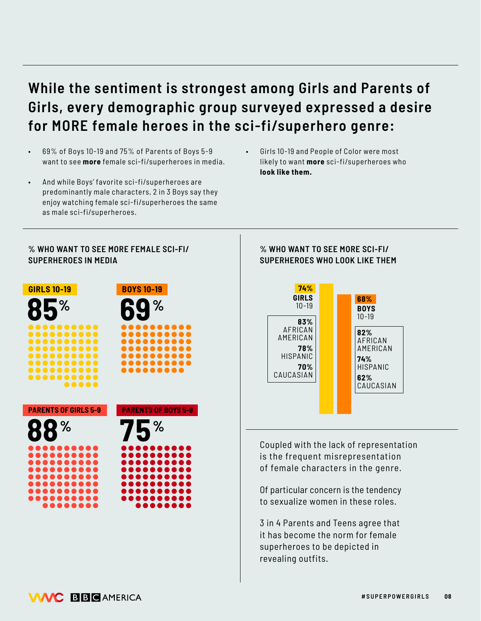### **While the sentiment is strongest among Girls and Parents of Girls, every demographic group surveyed expressed a desire for MORE female heroes in the sci-fi/superhero genre:**

- 69% of Boys 10-19 and 75% of Parents of Boys 5-9 want to see **more** female sci-fi/superheroes in media.
- And while Boys' favorite sci-fi/superheroes are predominantly male characters, 2 in 3 Boys say they enjoy watching female sci-fi/superheroes the same as male sci-fi/superheroes.
- Girls 10-19 and People of Color were most likely to want **more** sci-fi/superheroes who **look like them.**

#### **% WHO WANT TO SEE MORE FEMALE SCI-FI/ SUPERHEROES IN MEDIA**



#### **% WHO WANT TO SEE MORE SCI-FI/ SUPERHEROES WHO LOOK LIKE THEM**



Coupled with the lack of representation is the frequent misrepresentation of female characters in the genre.

Of particular concern is the tendency to sexualize women in these roles.

3 in 4 Parents and Teens agree that it has become the norm for female superheroes to be depicted in revealing outfits.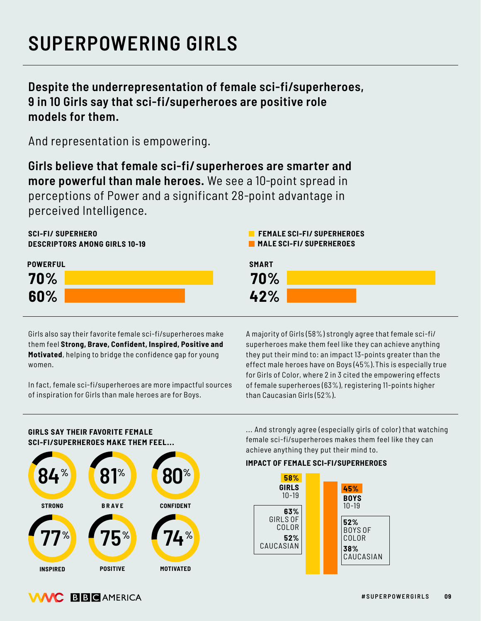### **SUPERPOWERING GIRLS**

**Despite the underrepresentation of female sci-fi/superheroes, 9 in 10 Girls say that sci-fi/superheroes are positive role models for them.**

And representation is empowering.

**Girls believe that female sci-fi/ superheroes are smarter and more powerful than male heroes.** We see a 10-point spread in perceptions of Power and a significant 28-point advantage in perceived Intelligence.





Girls also say their favorite female sci-fi/superheroes make them feel **Strong, Brave, Confident, Inspired, Positive and Motivated**, helping to bridge the confidence gap for young women.

In fact, female sci-fi/superheroes are more impactful sources of inspiration for Girls than male heroes are for Boys.

A majority of Girls (58%) strongly agree that female sci-fi/ superheroes make them feel like they can achieve anything they put their mind to: an impact 13-points greater than the effect male heroes have on Boys (45%). This is especially true for Girls of Color, where 2 in 3 cited the empowering effects of female superheroes (63%), registering 11-points higher than Caucasian Girls (52%).

#### **GIRLS SAY THEIR FAVORITE FEMALE SCI-FI/SUPERHEROES MAKE THEM FEEL...**



... And strongly agree (especially girls of color) that watching female sci-fi/superheroes makes them feel like they can achieve anything they put their mind to.

#### **IMPACT OF FEMALE SCI-FI/SUPERHEROES**

**FEMALE SCI-FI/ SUPERHEROES MALE SCI-FI/ SUPERHEROES** 



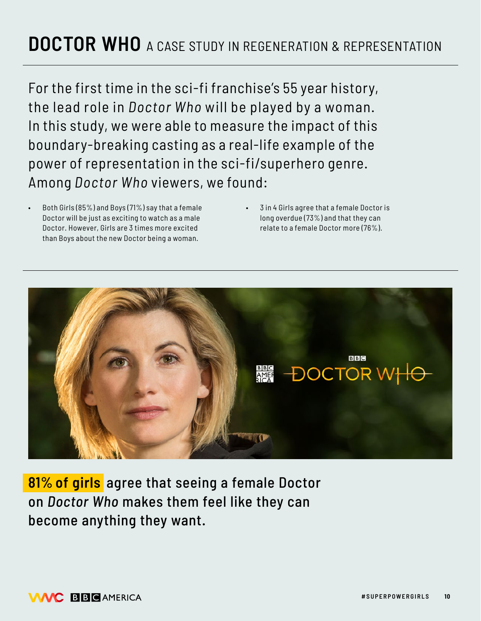### **DOCTOR WHO** A CASE STUDY IN REGENERATION & REPRESENTATION

For the first time in the sci-fi franchise's 55 year history, the lead role in *Doctor Who* will be played by a woman. In this study, we were able to measure the impact of this boundary-breaking casting as a real-life example of the power of representation in the sci-fi/superhero genre. Among *Doctor Who* viewers, we found:

- Both Girls (85%) and Boys (71%) say that a female Doctor will be just as exciting to watch as a male Doctor. However, Girls are 3 times more excited than Boys about the new Doctor being a woman.
- 3 in 4 Girls agree that a female Doctor is long overdue (73%) and that they can relate to a female Doctor more (76%).



**81% of girls** agree that seeing a female Doctor on *Doctor Who* makes them feel like they can become anything they want.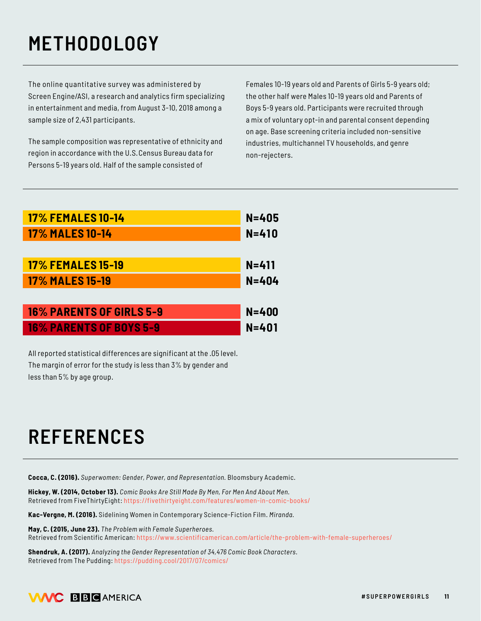## **METHODOLOGY**

The online quantitative survey was administered by Screen Engine/ASI, a research and analytics firm specializing in entertainment and media, from August 3-10, 2018 among a sample size of 2,431 participants.

The sample composition was representative of ethnicity and region in accordance with the U.S. Census Bureau data for Persons 5-19 years old. Half of the sample consisted of

Females 10-19 years old and Parents of Girls 5-9 years old; the other half were Males 10-19 years old and Parents of Boys 5-9 years old. Participants were recruited through a mix of voluntary opt-in and parental consent depending on age. Base screening criteria included non-sensitive industries, multichannel TV households, and genre non-rejecters.

| <b>17% FEMALES 10-14</b> | $N = 405$ |
|--------------------------|-----------|
| <b>17% MALES 10-14</b>   | $N = 410$ |
|                          |           |

| <b>17% FEMALES 15-19</b> | $N = 411$ |
|--------------------------|-----------|
| <b>17% MALES 15-19</b>   | N=404     |

| <b>16% PARENTS OF GIRLS 5-9</b> | $N = 400$ |
|---------------------------------|-----------|
| <b>16% PARENTS OF BOYS 5-9</b>  | $N = 401$ |

All reported statistical differences are significant at the .05 level. The margin of error for the study is less than 3% by gender and less than 5% by age group.

### **REFERENCES**

**Cocca, C. (2016).** *Superwomen: Gender, Power, and Representation.* Bloomsbury Academic.

**Hickey, W. (2014, October 13).** *Comic Books Are Still Made By Men, For Men And About Men.*  Retrieved from FiveThirtyEight: https://fivethirtyeight.com/features/women-in-comic-books/

**Kac-Vergne, M. (2016).** Sidelining Women in Contemporary Science-Fiction Film. *Miranda.*

**May, C. (2015, June 23).** *The Problem with Female Superheroes.* Retrieved from Scientific American: https://www.scientificamerican.com/article/the-problem-with-female-superheroes/

**Shendruk, A. (2017).** *Analyzing the Gender Representation of 34,476 Comic Book Characters.*  Retrieved from The Pudding: https://pudding.cool/2017/07/comics/

#### **VAAC BBCAMERICA**